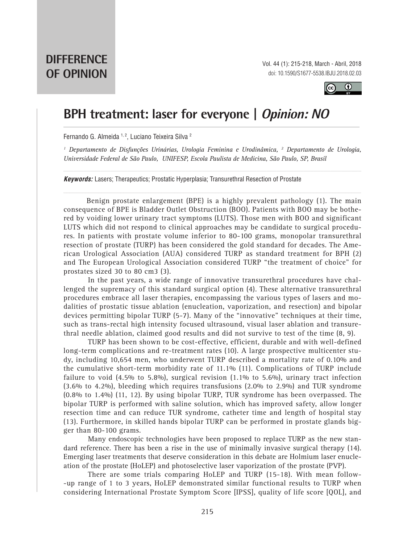

## **BPH treatment: laser for everyone | Opinion: NO**

Fernando G. Almeida 1, 2, Luciano Teixeira Silva 2

*1 Departamento de Disfunções Urinárias, Urologia Feminina e Urodinâmica, 2 Departamento de Urologia, Universidade Federal de São Paulo, UNIFESP, Escola Paulista de Medicina, São Paulo, SP, Brasil*

*\_\_\_\_\_\_\_\_\_\_\_\_\_\_\_\_\_\_\_\_\_\_\_\_\_\_\_\_\_\_\_\_\_\_\_\_\_\_\_\_\_\_\_\_\_\_\_\_\_\_\_\_\_\_\_\_\_\_\_\_\_\_\_\_\_\_\_\_\_\_\_\_\_\_\_\_\_\_\_\_\_\_\_\_\_\_\_\_\_\_\_\_\_\_*

*Keywords:* Lasers; Therapeutics; Prostatic Hyperplasia; Transurethral Resection of Prostate

Benign prostate enlargement (BPE) is a highly prevalent pathology (1). The main consequence of BPE is Bladder Outlet Obstruction (BOO). Patients with BOO may be bothered by voiding lower urinary tract symptoms (LUTS). Those men with BOO and significant LUTS which did not respond to clinical approaches may be candidate to surgical procedures. In patients with prostate volume inferior to 80-100 grams, monopolar transurethral resection of prostate (TURP) has been considered the gold standard for decades. The American Urological Association (AUA) considered TURP as standard treatment for BPH (2) and The European Urological Association considered TURP "the treatment of choice" for prostates sized 30 to 80 cm3 (3).

In the past years, a wide range of innovative transurethral procedures have challenged the supremacy of this standard surgical option (4). These alternative transurethral procedures embrace all laser therapies, encompassing the various types of lasers and modalities of prostatic tissue ablation (enucleation, vaporization, and resection) and bipolar devices permitting bipolar TURP (5-7). Many of the "innovative" techniques at their time, such as trans-rectal high intensity focused ultrasound, visual laser ablation and transurethral needle ablation, claimed good results and did not survive to test of the time (8, 9).

TURP has been shown to be cost-effective, efficient, durable and with well-defined long-term complications and re-treatment rates (10). A large prospective multicenter study, including 10,654 men, who underwent TURP described a mortality rate of 0.10% and the cumulative short-term morbidity rate of 11.1% (11). Complications of TURP include failure to void  $(4.5\%$  to 5.8%), surgical revision  $(1.1\%$  to 5.6%), urinary tract infection (3.6% to 4.2%), bleeding which requires transfusions (2.0% to 2.9%) and TUR syndrome (0.8% to 1.4%) (11, 12). By using bipolar TURP, TUR syndrome has been overpassed. The bipolar TURP is performed with saline solution, which has improved safety, allow longer resection time and can reduce TUR syndrome, catheter time and length of hospital stay (13). Furthermore, in skilled hands bipolar TURP can be performed in prostate glands bigger than 80-100 grams.

Many endoscopic technologies have been proposed to replace TURP as the new standard reference. There has been a rise in the use of minimally invasive surgical therapy (14). Emerging laser treatments that deserve consideration in this debate are Holmium laser enucleation of the prostate (HoLEP) and photoselective laser vaporization of the prostate (PVP).

There are some trials comparing HoLEP and TURP (15-18). With mean follow- -up range of 1 to 3 years, HoLEP demonstrated similar functional results to TURP when considering International Prostate Symptom Score [IPSS], quality of life score [QOL], and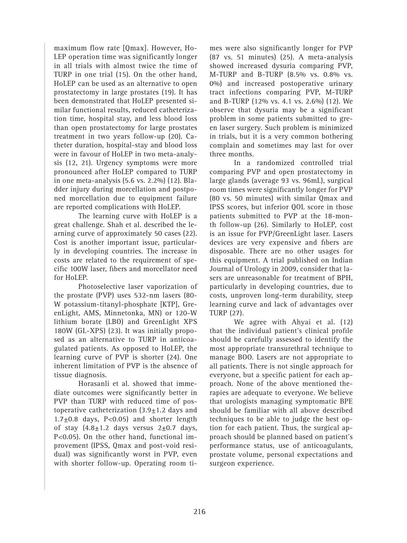maximum flow rate [Qmax]. However, Ho-LEP operation time was significantly longer in all trials with almost twice the time of TURP in one trial (15). On the other hand, HoLEP can be used as an alternative to open prostatectomy in large prostates (19). It has been demonstrated that HoLEP presented similar functional results, reduced catheterization time, hospital stay, and less blood loss than open prostatectomy for large prostates treatment in two years follow-up (20). Catheter duration, hospital-stay and blood loss were in favour of HoLEP in two meta-analysis (12, 21). Urgency symptoms were more pronounced after HoLEP compared to TURP in one meta-analysis (5.6 vs. 2.2%) (12). Bladder injury during morcellation and postponed morcellation due to equipment failure are reported complications with HoLEP.

The learning curve with HoLEP is a great challenge. Shah et al. described the learning curve of approximately 50 cases (22). Cost is another important issue, particularly in developing countries. The increase in costs are related to the requirement of specific 100W laser, fibers and morcellator need for HoLEP.

Photoselective laser vaporization of the prostate (PVP) uses 532-nm lasers (80- W potassium-titanyl-phosphate [KTP], GreenLight, AMS, Minnetonka, MN) or 120-W lithium borate (LBO) and GreenLight XPS 180W (GL-XPS) (23). It was initially proposed as an alternative to TURP in anticoagulated patients. As opposed to HoLEP, the learning curve of PVP is shorter (24). One inherent limitation of PVP is the absence of tissue diagnosis.

Horasanli et al. showed that immediate outcomes were significantly better in PVP than TURP with reduced time of postoperative catheterization  $(3.9 \pm 1.2)$  days and  $1.7\pm0.8$  days, P<0.05) and shorter length of stay  $(4.8 \pm 1.2)$  days versus  $2 \pm 0.7$  days, P<0.05). On the other hand, functional improvement (IPSS, Qmax and post-void residual) was significantly worst in PVP, even with shorter follow-up. Operating room times were also significantly longer for PVP (87 vs. 51 minutes) (25). A meta-analysis showed increased dysuria comparing PVP, M-TURP and B-TURP (8.5% vs. 0.8% vs. 0%) and increased postoperative urinary tract infections comparing PVP, M-TURP and B-TURP (12% vs. 4.1 vs. 2.6%) (12). We observe that dysuria may be a significant problem in some patients submitted to green laser surgery. Such problem is minimized in trials, but it is a very common bothering complain and sometimes may last for over three months.

In a randomized controlled trial comparing PVP and open prostatectomy in large glands (average 93 vs. 96mL), surgical room times were significantly longer for PVP (80 vs. 50 minutes) with similar Qmax and IPSS scores, but inferior QOL score in those patients submitted to PVP at the 18-month follow-up (26). Similarly to HoLEP, cost is an issue for PVP/GreenLight laser. Lasers devices are very expensive and fibers are disposable. There are no other usages for this equipment. A trial published on Indian Journal of Urology in 2009, consider that lasers are unreasonable for treatment of BPH, particularly in developing countries, due to costs, unproven long-term durability, steep learning curve and lack of advantages over TURP (27).

We agree with Ahyai et al. (12) that the individual patient's clinical profile should be carefully assessed to identify the most appropriate transurethral technique to manage BOO. Lasers are not appropriate to all patients. There is not single approach for everyone, but a specific patient for each approach. None of the above mentioned therapies are adequate to everyone. We believe that urologists managing symptomatic BPE should be familiar with all above described techniques to be able to judge the best option for each patient. Thus, the surgical approach should be planned based on patient's performance status, use of anticoagulants, prostate volume, personal expectations and surgeon experience.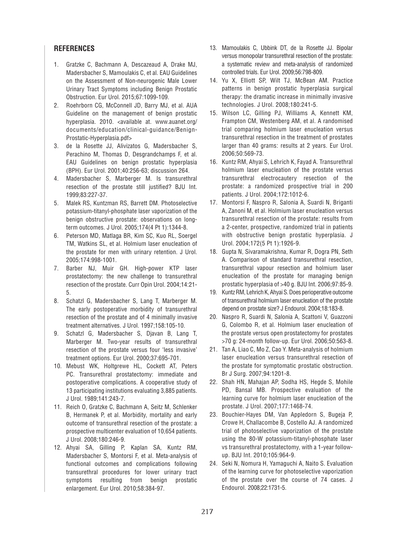## **REFERENCES**

- 1. Gratzke C, Bachmann A, Descazeaud A, Drake MJ, Madersbacher S, Mamoulakis C, et al. EAU Guidelines on the Assessment of Non-neurogenic Male Lower Urinary Tract Symptoms including Benign Prostatic Obstruction. Eur Urol. 2015;67:1099-109.
- 2. Roehrborn CG, McConnell JD, Barry MJ, et al. AUA Guideline on the management of benign prostatic hyperplasia. 2010. <available at. www.auanet.org/ documents/education/clinical-guidance/Benign-Prostatic-Hyperplasia.pdf>
- 3. de la Rosette JJ, Alivizatos G, Madersbacher S, Perachino M, Thomas D, Desgrandchamps F, et al. EAU Guidelines on benign prostatic hyperplasia (BPH). Eur Urol. 2001;40:256-63; discussion 264.
- 4. Madersbacher S, Marberger M. Is transurethral resection of the prostate still justified? BJU Int. 1999;83:227-37.
- 5. Malek RS, Kuntzman RS, Barrett DM. Photoselective potassium-titanyl-phosphate laser vaporization of the benign obstructive prostate: observations on longterm outcomes. J Urol. 2005;174(4 Pt 1):1344-8.
- 6. Peterson MD, Matlaga BR, Kim SC, Kuo RL, Soergel TM, Watkins SL, et al. Holmium laser enucleation of the prostate for men with urinary retention. J Urol. 2005;174:998-1001.
- 7. Barber NJ, Muir GH. High-power KTP laser prostatectomy: the new challenge to transurethral resection of the prostate. Curr Opin Urol. 2004;14:21- 5.
- 8. Schatzl G, Madersbacher S, Lang T, Marberger M. The early postoperative morbidity of transurethral resection of the prostate and of 4 minimally invasive treatment alternatives. J Urol. 1997;158:105-10.
- 9. Schatzl G, Madersbacher S, Djavan B, Lang T, Marberger M. Two-year results of transurethral resection of the prostate versus four 'less invasive' treatment options. Eur Urol. 2000;37:695-701.
- 10. Mebust WK, Holtgrewe HL, Cockett AT, Peters PC. Transurethral prostatectomy: immediate and postoperative complications. A cooperative study of 13 participating institutions evaluating 3,885 patients. J Urol. 1989;141:243-7.
- 11. Reich O, Gratzke C, Bachmann A, Seitz M, Schlenker B, Hermanek P, et al. Morbidity, mortality and early outcome of transurethral resection of the prostate: a prospective multicenter evaluation of 10,654 patients. J Urol. 2008;180:246-9.
- 12. Ahyai SA, Gilling P, Kaplan SA, Kuntz RM, Madersbacher S, Montorsi F, et al. Meta-analysis of functional outcomes and complications following transurethral procedures for lower urinary tract symptoms resulting from benign prostatic enlargement. Eur Urol. 2010;58:384-97.
- 13. Mamoulakis C, Ubbink DT, de la Rosette JJ. Bipolar versus monopolar transurethral resection of the prostate: a systematic review and meta-analysis of randomized controlled trials. Eur Urol. 2009;56:798-809.
- 14. Yu X, Elliott SP, Wilt TJ, McBean AM. Practice patterns in benign prostatic hyperplasia surgical therapy: the dramatic increase in minimally invasive technologies. J Urol. 2008;180:241-5.
- 15. Wilson LC, Gilling PJ, Williams A, Kennett KM, Frampton CM, Westenberg AM, et al. A randomised trial comparing holmium laser enucleation versus transurethral resection in the treatment of prostates larger than 40 grams: results at 2 years. Eur Urol. 2006;50:569-73.
- 16. Kuntz RM, Ahyai S, Lehrich K, Fayad A. Transurethral holmium laser enucleation of the prostate versus transurethral electrocautery resection of the prostate: a randomized prospective trial in 200 patients. J Urol. 2004;172:1012-6.
- 17. Montorsi F, Naspro R, Salonia A, Suardi N, Briganti A, Zanoni M, et al. Holmium laser enucleation versus transurethral resection of the prostate: results from a 2-center, prospective, randomized trial in patients with obstructive benign prostatic hyperplasia. J Urol. 2004;172(5 Pt 1):1926-9.
- 18. Gupta N, Sivaramakrishna, Kumar R, Dogra PN, Seth A. Comparison of standard transurethral resection, transurethral vapour resection and holmium laser enucleation of the prostate for managing benign prostatic hyperplasia of >40 g. BJU Int. 2006;97:85-9.
- 19. Kuntz RM, Lehrich K, Ahyai S. Does perioperative outcome of transurethral holmium laser enucleation of the prostate depend on prostate size? J Endourol. 2004;18:183-8.
- 20. Naspro R, Suardi N, Salonia A, Scattoni V, Guazzoni G, Colombo R, et al. Holmium laser enucleation of the prostate versus open prostatectomy for prostates >70 g: 24-month follow-up. Eur Urol. 2006;50:563-8.
- 21. Tan A, Liao C, Mo Z, Cao Y. Meta-analysis of holmium laser enucleation versus transurethral resection of the prostate for symptomatic prostatic obstruction. Br J Surg. 2007;94:1201-8.
- 22. Shah HN, Mahajan AP, Sodha HS, Hegde S, Mohile PD, Bansal MB. Prospective evaluation of the learning curve for holmium laser enucleation of the prostate. J Urol. 2007;177:1468-74.
- 23. Bouchier-Hayes DM, Van Appledorn S, Bugeja P, Crowe H, Challacombe B, Costello AJ. A randomized trial of photoselective vaporization of the prostate using the 80-W potassium-titanyl-phosphate laser vs transurethral prostatectomy, with a 1-year followup. BJU Int. 2010;105:964-9.
- 24. Seki N, Nomura H, Yamaguchi A, Naito S. Evaluation of the learning curve for photoselective vaporization of the prostate over the course of 74 cases. J Endourol. 2008;22:1731-5.